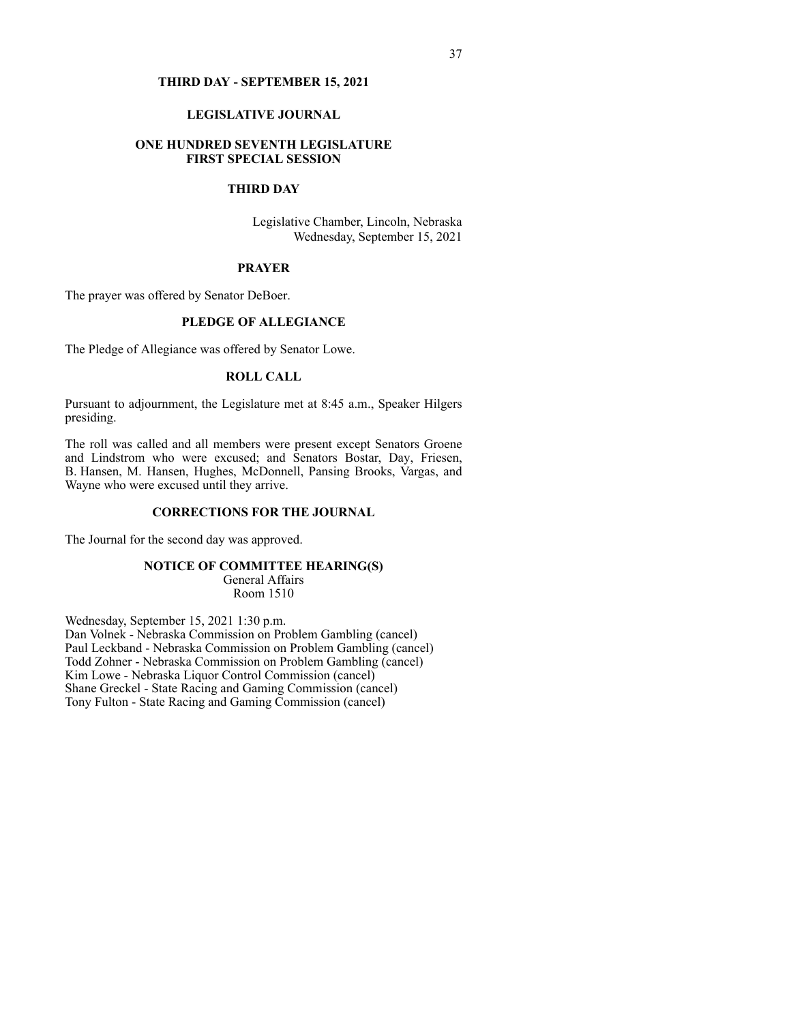#### **THIRD DAY - SEPTEMBER 15, 2021**

## **LEGISLATIVE JOURNAL**

## **ONE HUNDRED SEVENTH LEGISLATURE FIRST SPECIAL SESSION**

# **THIRD DAY**

Legislative Chamber, Lincoln, Nebraska Wednesday, September 15, 2021

## **PRAYER**

The prayer was offered by Senator DeBoer.

## **PLEDGE OF ALLEGIANCE**

The Pledge of Allegiance was offered by Senator Lowe.

## **ROLL CALL**

Pursuant to adjournment, the Legislature met at 8:45 a.m., Speaker Hilgers presiding.

The roll was called and all members were present except Senators Groene and Lindstrom who were excused; and Senators Bostar, Day, Friesen, B. Hansen, M. Hansen, Hughes, McDonnell, Pansing Brooks, Vargas, and Wayne who were excused until they arrive.

## **CORRECTIONS FOR THE JOURNAL**

The Journal for the second day was approved.

#### **NOTICE OF COMMITTEE HEARING(S)**

General Affairs Room 1510

Wednesday, September 15, 2021 1:30 p.m. Dan Volnek - Nebraska Commission on Problem Gambling (cancel) Paul Leckband - Nebraska Commission on Problem Gambling (cancel) Todd Zohner - Nebraska Commission on Problem Gambling (cancel) Kim Lowe - Nebraska Liquor Control Commission (cancel) Shane Greckel - State Racing and Gaming Commission (cancel) Tony Fulton - State Racing and Gaming Commission (cancel)